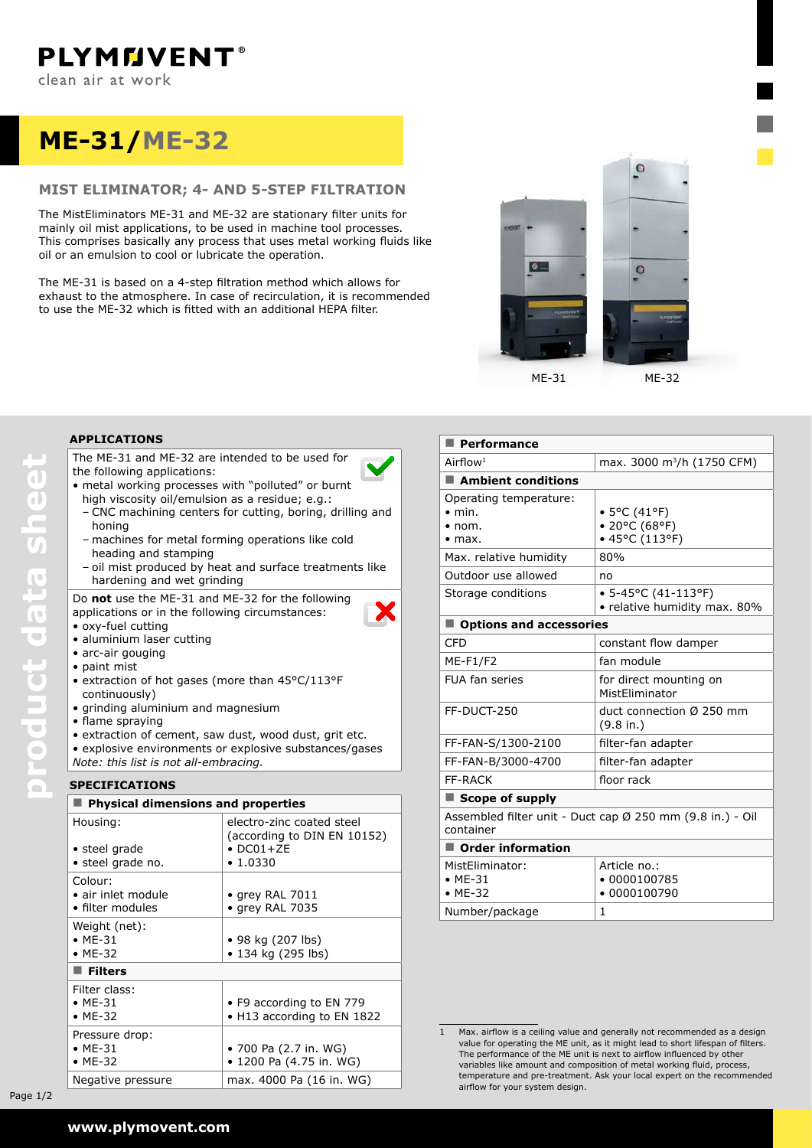# **ME-31/ME-32**

## **MIST ELIMINATOR; 4- and 5-step FILTRATION**

The MistEliminators ME-31 and ME-32 are stationary filter units for mainly oil mist applications, to be used in machine tool processes. This comprises basically any process that uses metal working fluids like oil or an emulsion to cool or lubricate the operation.

The ME-31 is based on a 4-step filtration method which allows for exhaust to the atmosphere. In case of recirculation, it is recommended to use the ME-32 which is fitted with an additional HEPA filter.



## **applications**

The ME-31 and ME-32 are intended to be used for the following applications:

- metal working processes with "polluted" or burnt
- high viscosity oil/emulsion as a residue; e.g.: – CNC machining centers for cutting, boring, drilling and honing
- machines for metal forming operations like cold heading and stamping
- oil mist produced by heat and surface treatments like hardening and wet grinding

Х

Do **not** use the ME-31 and ME-32 for the following applications or in the following circumstances:

- • oxy-fuel cutting • aluminium laser cutting
- arc-air gouging
- • paint mist
- extraction of hot gases (more than 45°C/113°F continuously)
- • grinding aluminium and magnesium
- • flame spraying
- extraction of cement, saw dust, wood dust, grit etc.
- explosive environments or explosive substances/gases *Note: this list is not all-embracing.*

## **speCIFICATIONS**

| $\blacksquare$ Physical dimensions and properties |                                                          |  |  |  |
|---------------------------------------------------|----------------------------------------------------------|--|--|--|
| Housing:                                          | electro-zinc coated steel<br>(according to DIN EN 10152) |  |  |  |
| • steel grade                                     | $\bullet$ DC01+ZE                                        |  |  |  |
| • steel grade no.                                 | $\cdot$ 1.0330                                           |  |  |  |
| Colour:                                           |                                                          |  |  |  |
| • air inlet module                                | $\bullet$ grey RAL 7011                                  |  |  |  |
| $\bullet$ filter modules                          | • grey RAL 7035                                          |  |  |  |
| Weight (net):                                     |                                                          |  |  |  |
| $\bullet$ ME-31                                   | • 98 kg (207 lbs)                                        |  |  |  |
| $\bullet$ ME-32                                   | • 134 kg (295 lbs)                                       |  |  |  |
| $\blacksquare$ Filters                            |                                                          |  |  |  |
| Filter class:                                     |                                                          |  |  |  |
| $\bullet$ ME-31                                   | • F9 according to EN 779                                 |  |  |  |
| $\bullet$ ME-32                                   | • H13 according to EN 1822                               |  |  |  |
| Pressure drop:                                    |                                                          |  |  |  |
| $\bullet$ ME-31                                   | • 700 Pa (2.7 in. WG)                                    |  |  |  |
| $\bullet$ ME-32                                   | • 1200 Pa (4.75 in. WG)                                  |  |  |  |
| Negative pressure                                 | max. 4000 Pa (16 in. WG)                                 |  |  |  |

| $\blacksquare$ Performance                                                   |                                                             |  |  |
|------------------------------------------------------------------------------|-------------------------------------------------------------|--|--|
| Airflow <sup>1</sup>                                                         | max. 3000 m <sup>3</sup> /h (1750 CFM)                      |  |  |
| $\blacksquare$ Ambient conditions                                            |                                                             |  |  |
| Operating temperature:<br>$\bullet$ min.<br>$\bullet$ nom.<br>$\bullet$ max. | $\bullet$ 5°C (41°F)<br>• 20°C (68°F)<br>• 45°C (113°F)     |  |  |
| Max. relative humidity                                                       | 80%                                                         |  |  |
| Outdoor use allowed                                                          | no                                                          |  |  |
| Storage conditions                                                           | $\bullet$ 5-45°C (41-113°F)<br>• relative humidity max. 80% |  |  |
| ■ Options and accessories                                                    |                                                             |  |  |
| CFD                                                                          | constant flow damper                                        |  |  |
| <b>ME-F1/F2</b>                                                              | fan module                                                  |  |  |
| <b>FUA fan series</b>                                                        | for direct mounting on<br>MistEliminator                    |  |  |
| FF-DUCT-250                                                                  | duct connection $\varnothing$ 250 mm<br>(9.8 in.)           |  |  |
| FF-FAN-S/1300-2100                                                           | filter-fan adapter                                          |  |  |
| FF-FAN-B/3000-4700                                                           | filter-fan adapter                                          |  |  |
| <b>FF-RACK</b>                                                               | floor rack                                                  |  |  |
| $\blacksquare$ Scope of supply                                               |                                                             |  |  |
| container                                                                    | Assembled filter unit - Duct cap Ø 250 mm (9.8 in.) - Oil   |  |  |
| $\blacksquare$ Order information                                             |                                                             |  |  |
| MistEliminator:<br>$·$ ME-31<br>$·$ ME-32                                    | Article no.:<br>• 0000100785<br>$-0000100790$               |  |  |
| Number/package                                                               | 1                                                           |  |  |

Page  $1/2$ 

<sup>1</sup> Max. airflow is a ceiling value and generally not recommended as a design value for operating the ME unit, as it might lead to short lifespan of filters. The performance of the ME unit is next to airflow influenced by other variables like amount and composition of metal working fluid, process, temperature and pre-treatment. Ask your local expert on the recommended airflow for your system design.